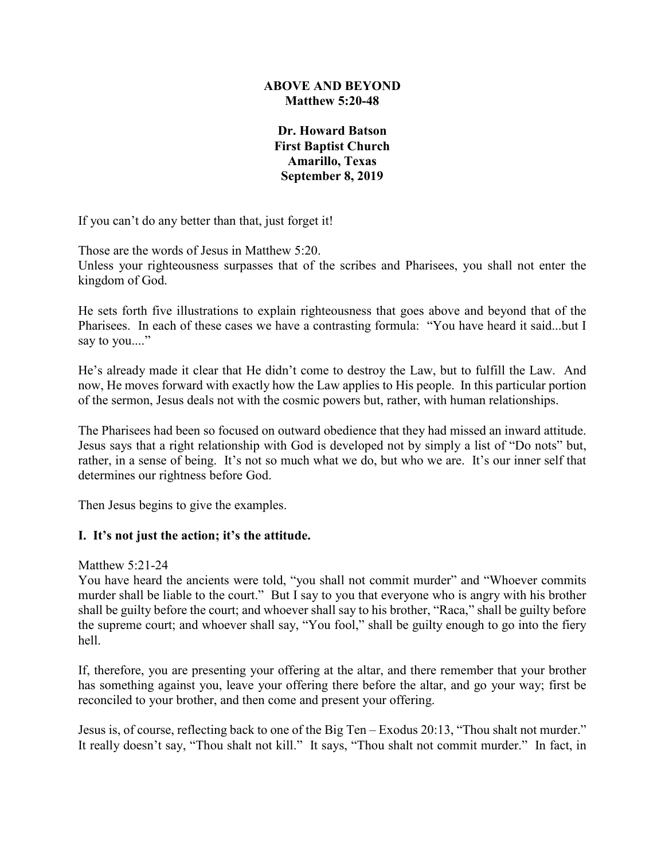## **ABOVE AND BEYOND Matthew 5:20-48**

**Dr. Howard Batson First Baptist Church Amarillo, Texas September 8, 2019**

If you can't do any better than that, just forget it!

Those are the words of Jesus in Matthew 5:20.

Unless your righteousness surpasses that of the scribes and Pharisees, you shall not enter the kingdom of God.

He sets forth five illustrations to explain righteousness that goes above and beyond that of the Pharisees. In each of these cases we have a contrasting formula: "You have heard it said...but I say to you...."

He's already made it clear that He didn't come to destroy the Law, but to fulfill the Law. And now, He moves forward with exactly how the Law applies to His people. In this particular portion of the sermon, Jesus deals not with the cosmic powers but, rather, with human relationships.

The Pharisees had been so focused on outward obedience that they had missed an inward attitude. Jesus says that a right relationship with God is developed not by simply a list of "Do nots" but, rather, in a sense of being. It's not so much what we do, but who we are. It's our inner self that determines our rightness before God.

Then Jesus begins to give the examples.

# **I. It's not just the action; it's the attitude.**

## Matthew 5:21-24

You have heard the ancients were told, "you shall not commit murder" and "Whoever commits murder shall be liable to the court." But I say to you that everyone who is angry with his brother shall be guilty before the court; and whoever shall say to his brother, "Raca," shall be guilty before the supreme court; and whoever shall say, "You fool," shall be guilty enough to go into the fiery hell.

If, therefore, you are presenting your offering at the altar, and there remember that your brother has something against you, leave your offering there before the altar, and go your way; first be reconciled to your brother, and then come and present your offering.

Jesus is, of course, reflecting back to one of the Big Ten – Exodus 20:13, "Thou shalt not murder." It really doesn't say, "Thou shalt not kill." It says, "Thou shalt not commit murder." In fact, in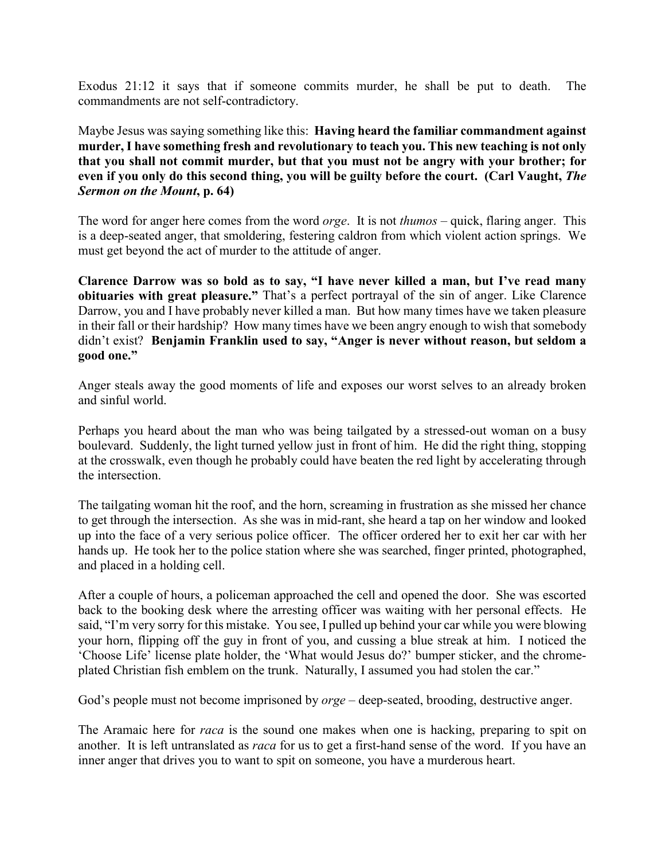Exodus 21:12 it says that if someone commits murder, he shall be put to death. The commandments are not self-contradictory.

Maybe Jesus was saying something like this: **Having heard the familiar commandment against murder, I have something fresh and revolutionary to teach you. This new teaching is not only that you shall not commit murder, but that you must not be angry with your brother; for**  even if you only do this second thing, you will be guilty before the court. (Carl Vaught, *The Sermon on the Mount***, p. 64)**

The word for anger here comes from the word *orge*. It is not *thumos* – quick, flaring anger. This is a deep-seated anger, that smoldering, festering caldron from which violent action springs. We must get beyond the act of murder to the attitude of anger.

**Clarence Darrow was so bold as to say, "I have never killed a man, but I've read many obituaries with great pleasure."** That's a perfect portrayal of the sin of anger. Like Clarence Darrow, you and I have probably never killed a man. But how many times have we taken pleasure in their fall or their hardship? How many times have we been angry enough to wish that somebody didn't exist? **Benjamin Franklin used to say, "Anger is never without reason, but seldom a good one."**

Anger steals away the good moments of life and exposes our worst selves to an already broken and sinful world.

Perhaps you heard about the man who was being tailgated by a stressed-out woman on a busy boulevard. Suddenly, the light turned yellow just in front of him. He did the right thing, stopping at the crosswalk, even though he probably could have beaten the red light by accelerating through the intersection.

The tailgating woman hit the roof, and the horn, screaming in frustration as she missed her chance to get through the intersection. As she was in mid-rant, she heard a tap on her window and looked up into the face of a very serious police officer. The officer ordered her to exit her car with her hands up. He took her to the police station where she was searched, finger printed, photographed, and placed in a holding cell.

After a couple of hours, a policeman approached the cell and opened the door. She was escorted back to the booking desk where the arresting officer was waiting with her personal effects. He said, "I'm very sorry for this mistake. You see, I pulled up behind your car while you were blowing your horn, flipping off the guy in front of you, and cussing a blue streak at him. I noticed the 'Choose Life' license plate holder, the 'What would Jesus do?' bumper sticker, and the chromeplated Christian fish emblem on the trunk. Naturally, I assumed you had stolen the car."

God's people must not become imprisoned by *orge* – deep-seated, brooding, destructive anger.

The Aramaic here for *raca* is the sound one makes when one is hacking, preparing to spit on another. It is left untranslated as *raca* for us to get a first-hand sense of the word. If you have an inner anger that drives you to want to spit on someone, you have a murderous heart.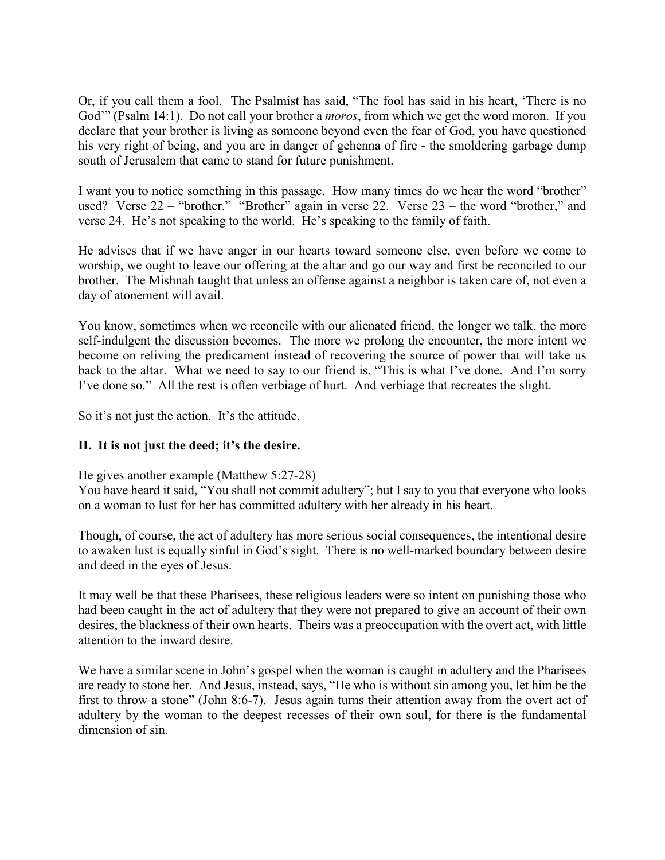Or, if you call them a fool. The Psalmist has said, "The fool has said in his heart, 'There is no God'" (Psalm 14:1). Do not call your brother a *moros*, from which we get the word moron. If you declare that your brother is living as someone beyond even the fear of God, you have questioned his very right of being, and you are in danger of gehenna of fire - the smoldering garbage dump south of Jerusalem that came to stand for future punishment.

I want you to notice something in this passage. How many times do we hear the word "brother" used? Verse 22 – "brother." "Brother" again in verse 22. Verse 23 – the word "brother," and verse 24. He's not speaking to the world. He's speaking to the family of faith.

He advises that if we have anger in our hearts toward someone else, even before we come to worship, we ought to leave our offering at the altar and go our way and first be reconciled to our brother. The Mishnah taught that unless an offense against a neighbor is taken care of, not even a day of atonement will avail.

You know, sometimes when we reconcile with our alienated friend, the longer we talk, the more self-indulgent the discussion becomes. The more we prolong the encounter, the more intent we become on reliving the predicament instead of recovering the source of power that will take us back to the altar. What we need to say to our friend is, "This is what I've done. And I'm sorry I've done so." All the rest is often verbiage of hurt. And verbiage that recreates the slight.

So it's not just the action. It's the attitude.

# **II. It is not just the deed; it's the desire.**

He gives another example (Matthew 5:27-28)

You have heard it said, "You shall not commit adultery"; but I say to you that everyone who looks on a woman to lust for her has committed adultery with her already in his heart.

Though, of course, the act of adultery has more serious social consequences, the intentional desire to awaken lust is equally sinful in God's sight. There is no well-marked boundary between desire and deed in the eyes of Jesus.

It may well be that these Pharisees, these religious leaders were so intent on punishing those who had been caught in the act of adultery that they were not prepared to give an account of their own desires, the blackness of their own hearts. Theirs was a preoccupation with the overt act, with little attention to the inward desire.

We have a similar scene in John's gospel when the woman is caught in adultery and the Pharisees are ready to stone her. And Jesus, instead, says, "He who is without sin among you, let him be the first to throw a stone" (John 8:6-7). Jesus again turns their attention away from the overt act of adultery by the woman to the deepest recesses of their own soul, for there is the fundamental dimension of sin.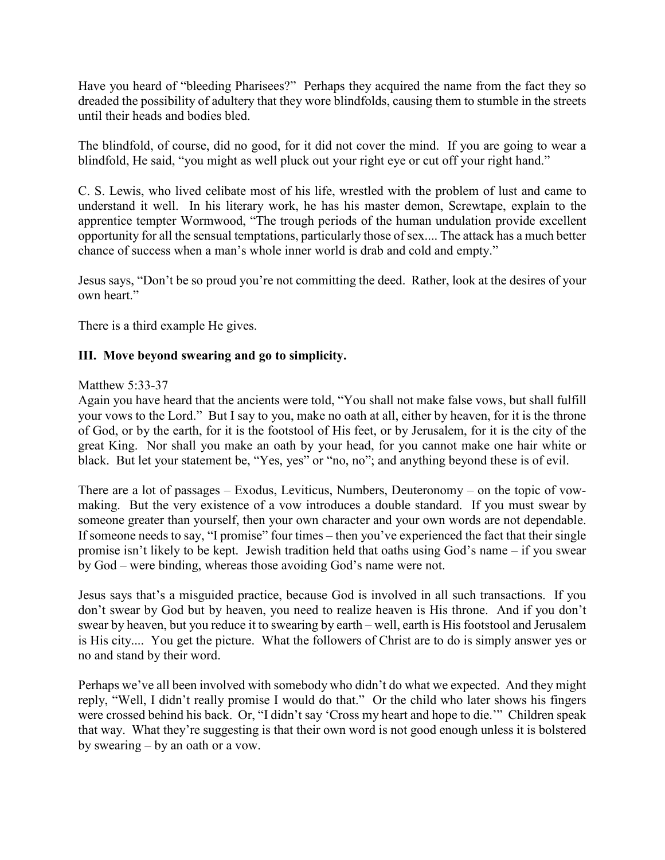Have you heard of "bleeding Pharisees?" Perhaps they acquired the name from the fact they so dreaded the possibility of adultery that they wore blindfolds, causing them to stumble in the streets until their heads and bodies bled.

The blindfold, of course, did no good, for it did not cover the mind. If you are going to wear a blindfold, He said, "you might as well pluck out your right eye or cut off your right hand."

C. S. Lewis, who lived celibate most of his life, wrestled with the problem of lust and came to understand it well. In his literary work, he has his master demon, Screwtape, explain to the apprentice tempter Wormwood, "The trough periods of the human undulation provide excellent opportunity for all the sensual temptations, particularly those of sex.... The attack has a much better chance of success when a man's whole inner world is drab and cold and empty."

Jesus says, "Don't be so proud you're not committing the deed. Rather, look at the desires of your own heart."

There is a third example He gives.

## **III. Move beyond swearing and go to simplicity.**

#### Matthew 5:33-37

Again you have heard that the ancients were told, "You shall not make false vows, but shall fulfill your vows to the Lord." But I say to you, make no oath at all, either by heaven, for it is the throne of God, or by the earth, for it is the footstool of His feet, or by Jerusalem, for it is the city of the great King. Nor shall you make an oath by your head, for you cannot make one hair white or black. But let your statement be, "Yes, yes" or "no, no"; and anything beyond these is of evil.

There are a lot of passages – Exodus, Leviticus, Numbers, Deuteronomy – on the topic of vowmaking. But the very existence of a vow introduces a double standard. If you must swear by someone greater than yourself, then your own character and your own words are not dependable. If someone needs to say, "I promise" four times – then you've experienced the fact that their single promise isn't likely to be kept. Jewish tradition held that oaths using God's name – if you swear by God – were binding, whereas those avoiding God's name were not.

Jesus says that's a misguided practice, because God is involved in all such transactions. If you don't swear by God but by heaven, you need to realize heaven is His throne. And if you don't swear by heaven, but you reduce it to swearing by earth – well, earth is His footstool and Jerusalem is His city.... You get the picture. What the followers of Christ are to do is simply answer yes or no and stand by their word.

Perhaps we've all been involved with somebody who didn't do what we expected. And they might reply, "Well, I didn't really promise I would do that." Or the child who later shows his fingers were crossed behind his back. Or, "I didn't say 'Cross my heart and hope to die.'" Children speak that way. What they're suggesting is that their own word is not good enough unless it is bolstered by swearing – by an oath or a vow.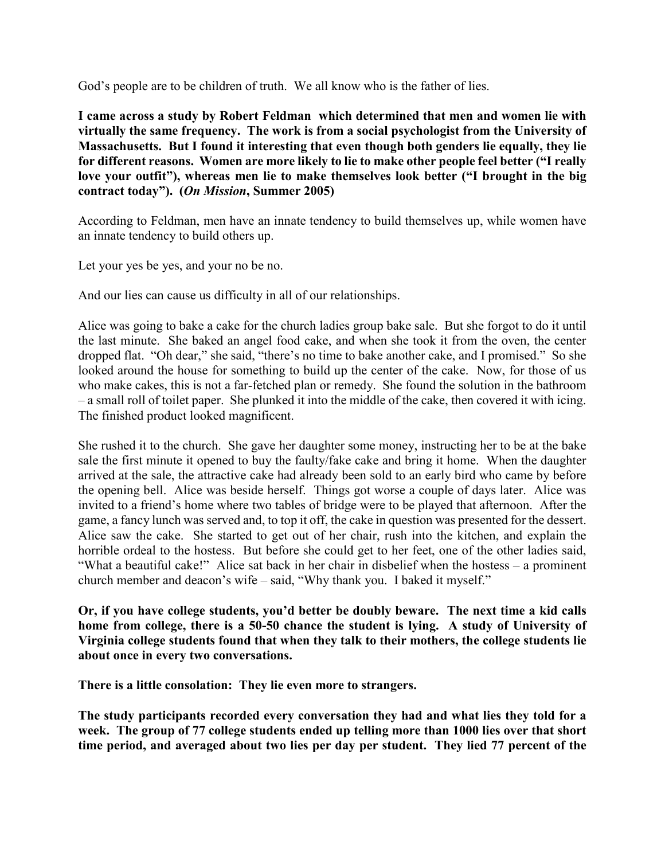God's people are to be children of truth. We all know who is the father of lies.

**I came across a study by Robert Feldman which determined that men and women lie with virtually the same frequency. The work is from a social psychologist from the University of Massachusetts. But I found it interesting that even though both genders lie equally, they lie for different reasons. Women are more likely to lie to make other people feel better ("I really love your outfit"), whereas men lie to make themselves look better ("I brought in the big contract today"). (***On Mission***, Summer 2005)**

According to Feldman, men have an innate tendency to build themselves up, while women have an innate tendency to build others up.

Let your yes be yes, and your no be no.

And our lies can cause us difficulty in all of our relationships.

Alice was going to bake a cake for the church ladies group bake sale. But she forgot to do it until the last minute. She baked an angel food cake, and when she took it from the oven, the center dropped flat. "Oh dear," she said, "there's no time to bake another cake, and I promised." So she looked around the house for something to build up the center of the cake. Now, for those of us who make cakes, this is not a far-fetched plan or remedy. She found the solution in the bathroom – a small roll of toilet paper. She plunked it into the middle of the cake, then covered it with icing. The finished product looked magnificent.

She rushed it to the church. She gave her daughter some money, instructing her to be at the bake sale the first minute it opened to buy the faulty/fake cake and bring it home. When the daughter arrived at the sale, the attractive cake had already been sold to an early bird who came by before the opening bell. Alice was beside herself. Things got worse a couple of days later. Alice was invited to a friend's home where two tables of bridge were to be played that afternoon. After the game, a fancy lunch was served and, to top it off, the cake in question was presented for the dessert. Alice saw the cake. She started to get out of her chair, rush into the kitchen, and explain the horrible ordeal to the hostess. But before she could get to her feet, one of the other ladies said, "What a beautiful cake!" Alice sat back in her chair in disbelief when the hostess – a prominent church member and deacon's wife – said, "Why thank you. I baked it myself."

**Or, if you have college students, you'd better be doubly beware. The next time a kid calls home from college, there is a 50-50 chance the student is lying. A study of University of Virginia college students found that when they talk to their mothers, the college students lie about once in every two conversations.**

**There is a little consolation: They lie even more to strangers.**

**The study participants recorded every conversation they had and what lies they told for a**  week. The group of 77 college students ended up telling more than 1000 lies over that short **time period, and averaged about two lies per day per student. They lied 77 percent of the**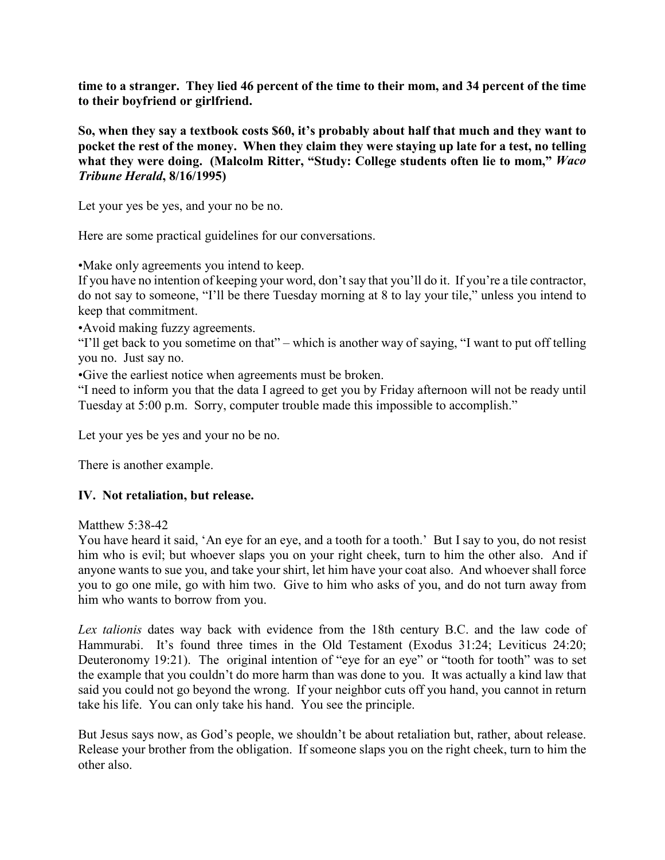**time to a stranger. They lied 46 percent of the time to their mom, and 34 percent of the time to their boyfriend or girlfriend.**

**So, when they say a textbook costs \$60, it's probably about half that much and they want to pocket the rest of the money. When they claim they were staying up late for a test, no telling**  what they were doing. (Malcolm Ritter, "Study: College students often lie to mom," Waco *Tribune Herald***, 8/16/1995)**

Let your yes be yes, and your no be no.

Here are some practical guidelines for our conversations.

•Make only agreements you intend to keep.

If you have no intention of keeping your word, don't say that you'll do it. If you're a tile contractor, do not say to someone, "I'll be there Tuesday morning at 8 to lay your tile," unless you intend to keep that commitment.

•Avoid making fuzzy agreements.

"I'll get back to you sometime on that" – which is another way of saying, "I want to put off telling you no. Just say no.

•Give the earliest notice when agreements must be broken.

"I need to inform you that the data I agreed to get you by Friday afternoon will not be ready until Tuesday at 5:00 p.m. Sorry, computer trouble made this impossible to accomplish."

Let your yes be yes and your no be no.

There is another example.

## **IV. Not retaliation, but release.**

Matthew 5:38-42

You have heard it said, 'An eye for an eye, and a tooth for a tooth.' But I say to you, do not resist him who is evil; but whoever slaps you on your right cheek, turn to him the other also. And if anyone wants to sue you, and take your shirt, let him have your coat also. And whoever shall force you to go one mile, go with him two. Give to him who asks of you, and do not turn away from him who wants to borrow from you.

*Lex talionis* dates way back with evidence from the 18th century B.C. and the law code of Hammurabi. It's found three times in the Old Testament (Exodus 31:24; Leviticus 24:20; Deuteronomy 19:21). The original intention of "eye for an eye" or "tooth for tooth" was to set the example that you couldn't do more harm than was done to you. It was actually a kind law that said you could not go beyond the wrong. If your neighbor cuts off you hand, you cannot in return take his life. You can only take his hand. You see the principle.

But Jesus says now, as God's people, we shouldn't be about retaliation but, rather, about release. Release your brother from the obligation. If someone slaps you on the right cheek, turn to him the other also.